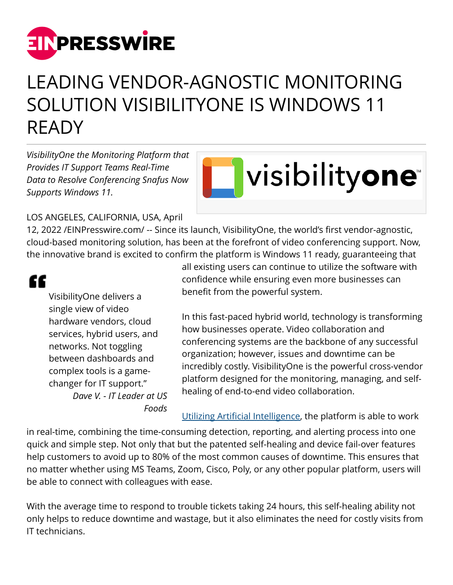

## LEADING VENDOR-AGNOSTIC MONITORING SOLUTION VISIBILITYONE IS WINDOWS 11 READY

*VisibilityOne the Monitoring Platform that Provides IT Support Teams Real-Time Data to Resolve Conferencing Snafus Now Supports Windows 11.*

## visibilityone

## LOS ANGELES, CALIFORNIA, USA, April

12, 2022 /[EINPresswire.com/](http://www.einpresswire.com) -- Since its launch, VisibilityOne, the world's first vendor-agnostic, cloud-based monitoring solution, has been at the forefront of video conferencing support. Now, the innovative brand is excited to confirm the platform is Windows 11 ready, guaranteeing that

## "

VisibilityOne delivers a single view of video hardware vendors, cloud services, hybrid users, and networks. Not toggling between dashboards and complex tools is a gamechanger for IT support." *Dave V. - IT Leader at US Foods* all existing users can continue to utilize the software with confidence while ensuring even more businesses can benefit from the powerful system.

In this fast-paced hybrid world, technology is transforming how businesses operate. Video collaboration and conferencing systems are the backbone of any successful organization; however, issues and downtime can be incredibly costly. VisibilityOne is the powerful cross-vendor platform designed for the monitoring, managing, and selfhealing of end-to-end video collaboration.

[Utilizing Artificial Intelligence,](https://www.visibility.one/videos) the platform is able to work

in real-time, combining the time-consuming detection, reporting, and alerting process into one quick and simple step. Not only that but the patented self-healing and device fail-over features help customers to avoid up to 80% of the most common causes of downtime. This ensures that no matter whether using MS Teams, Zoom, Cisco, Poly, or any other popular platform, users will be able to connect with colleagues with ease.

With the average time to respond to trouble tickets taking 24 hours, this self-healing ability not only helps to reduce downtime and wastage, but it also eliminates the need for costly visits from IT technicians.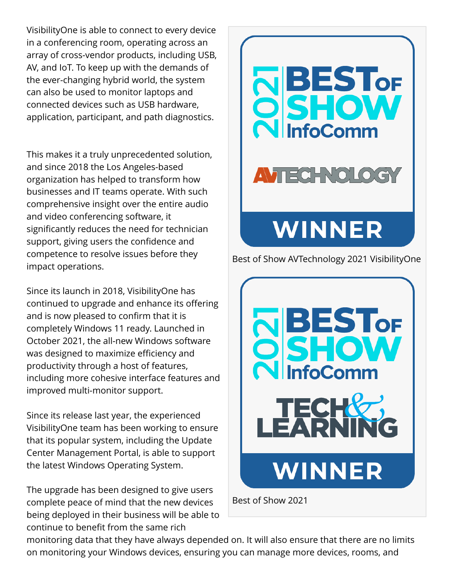VisibilityOne is able to connect to every device in a conferencing room, operating across an array of cross-vendor products, including USB, AV, and IoT. To keep up with the demands of the ever-changing hybrid world, the system can also be used to monitor laptops and connected devices such as USB hardware, application, participant, and path diagnostics.

This makes it a truly unprecedented solution, and since 2018 the Los Angeles-based organization has helped to transform how businesses and IT teams operate. With such comprehensive insight over the entire audio and video conferencing software, it significantly reduces the need for technician support, giving users the confidence and competence to resolve issues before they impact operations.

Since its launch in 2018, VisibilityOne has continued to upgrade and enhance its offering and is now pleased to confirm that it is completely Windows 11 ready. Launched in October 2021, the all-new Windows software was designed to maximize efficiency and productivity through a host of features, including more cohesive interface features and improved multi-monitor support.

Since its release last year, the experienced VisibilityOne team has been working to ensure that its popular system, including the Update Center Management Portal, is able to support the latest Windows Operating System.

The upgrade has been designed to give users complete peace of mind that the new devices being deployed in their business will be able to continue to benefit from the same rich



Best of Show AVTechnology 2021 VisibilityOne



Best of Show 2021

monitoring data that they have always depended on. It will also ensure that there are no limits on monitoring your Windows devices, ensuring you can manage more devices, rooms, and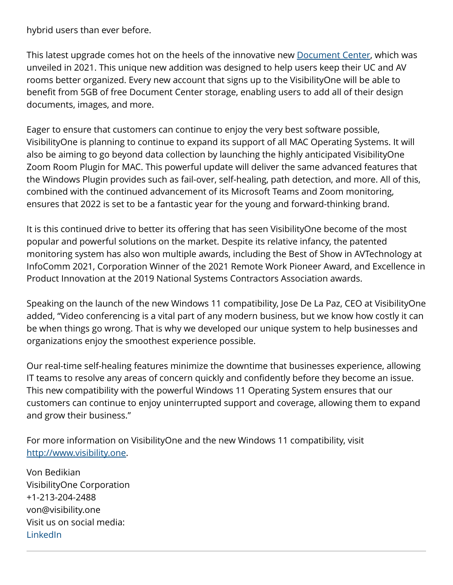hybrid users than ever before.

This latest upgrade comes hot on the heels of the innovative new **Document Center**, which was unveiled in 2021. This unique new addition was designed to help users keep their UC and AV rooms better organized. Every new account that signs up to the VisibilityOne will be able to benefit from 5GB of free Document Center storage, enabling users to add all of their design documents, images, and more.

Eager to ensure that customers can continue to enjoy the very best software possible, VisibilityOne is planning to continue to expand its support of all MAC Operating Systems. It will also be aiming to go beyond data collection by launching the highly anticipated VisibilityOne Zoom Room Plugin for MAC. This powerful update will deliver the same advanced features that the Windows Plugin provides such as fail-over, self-healing, path detection, and more. All of this, combined with the continued advancement of its Microsoft Teams and Zoom monitoring, ensures that 2022 is set to be a fantastic year for the young and forward-thinking brand.

It is this continued drive to better its offering that has seen VisibilityOne become of the most popular and powerful solutions on the market. Despite its relative infancy, the patented monitoring system has also won multiple awards, including the Best of Show in AVTechnology at InfoComm 2021, Corporation Winner of the 2021 Remote Work Pioneer Award, and Excellence in Product Innovation at the 2019 National Systems Contractors Association awards.

Speaking on the launch of the new Windows 11 compatibility, Jose De La Paz, CEO at VisibilityOne added, "Video conferencing is a vital part of any modern business, but we know how costly it can be when things go wrong. That is why we developed our unique system to help businesses and organizations enjoy the smoothest experience possible.

Our real-time self-healing features minimize the downtime that businesses experience, allowing IT teams to resolve any areas of concern quickly and confidently before they become an issue. This new compatibility with the powerful Windows 11 Operating System ensures that our customers can continue to enjoy uninterrupted support and coverage, allowing them to expand and grow their business."

For more information on VisibilityOne and the new Windows 11 compatibility, visit <http://www.visibility.one>.

Von Bedikian VisibilityOne Corporation +1-213-204-2488 von@visibility.one Visit us on social media: [LinkedIn](https://www.linkedin.com/company/visibility-one/mycompany/?viewAsMember=true)